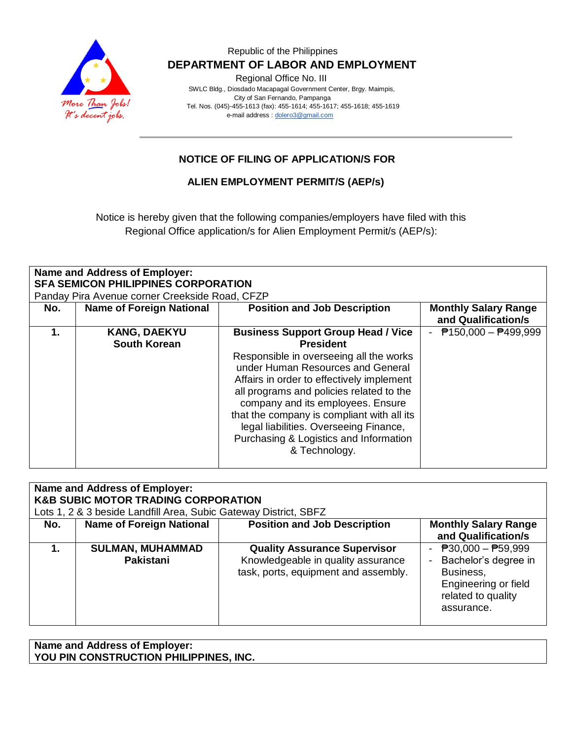

#### Republic of the Philippines  **DEPARTMENT OF LABOR AND EMPLOYMENT**

Regional Office No. III

 SWLC Bldg., Diosdado Macapagal Government Center, Brgy. Maimpis, City of San Fernando, Pampanga Tel. Nos. (045)-455-1613 (fax): 455-1614; 455-1617; 455-1618; 455-1619 e-mail address [: dolero3@gmail.com](mailto:dolero3@gmail.com)

## **NOTICE OF FILING OF APPLICATION/S FOR**

#### **ALIEN EMPLOYMENT PERMIT/S (AEP/s)**

Notice is hereby given that the following companies/employers have filed with this Regional Office application/s for Alien Employment Permit/s (AEP/s):

| <b>Name and Address of Employer:</b><br><b>SFA SEMICON PHILIPPINES CORPORATION</b><br>Panday Pira Avenue corner Creekside Road, CFZP |                                            |                                                                                                                                                                                                                                                                                                                                                                                                                                |                                                    |  |  |
|--------------------------------------------------------------------------------------------------------------------------------------|--------------------------------------------|--------------------------------------------------------------------------------------------------------------------------------------------------------------------------------------------------------------------------------------------------------------------------------------------------------------------------------------------------------------------------------------------------------------------------------|----------------------------------------------------|--|--|
| No.                                                                                                                                  | <b>Name of Foreign National</b>            | <b>Position and Job Description</b>                                                                                                                                                                                                                                                                                                                                                                                            | <b>Monthly Salary Range</b><br>and Qualification/s |  |  |
| 1.                                                                                                                                   | <b>KANG, DAEKYU</b><br><b>South Korean</b> | <b>Business Support Group Head / Vice</b><br><b>President</b><br>Responsible in overseeing all the works<br>under Human Resources and General<br>Affairs in order to effectively implement<br>all programs and policies related to the<br>company and its employees. Ensure<br>that the company is compliant with all its<br>legal liabilities. Overseeing Finance,<br>Purchasing & Logistics and Information<br>& Technology. | $P$ 150,000 - $P$ 499,999                          |  |  |

| Name and Address of Employer:<br><b>K&amp;B SUBIC MOTOR TRADING CORPORATION</b><br>Lots 1, 2 & 3 beside Landfill Area, Subic Gateway District, SBFZ |                                      |                                                                                                                   |                                                                                                                        |  |  |
|-----------------------------------------------------------------------------------------------------------------------------------------------------|--------------------------------------|-------------------------------------------------------------------------------------------------------------------|------------------------------------------------------------------------------------------------------------------------|--|--|
| No.                                                                                                                                                 | <b>Name of Foreign National</b>      | <b>Position and Job Description</b>                                                                               | <b>Monthly Salary Range</b><br>and Qualification/s                                                                     |  |  |
|                                                                                                                                                     | <b>SULMAN, MUHAMMAD</b><br>Pakistani | <b>Quality Assurance Supervisor</b><br>Knowledgeable in quality assurance<br>task, ports, equipment and assembly. | - $P30,000 - P59,999$<br>Bachelor's degree in<br>Business,<br>Engineering or field<br>related to quality<br>assurance. |  |  |

**Name and Address of Employer: YOU PIN CONSTRUCTION PHILIPPINES, INC.**